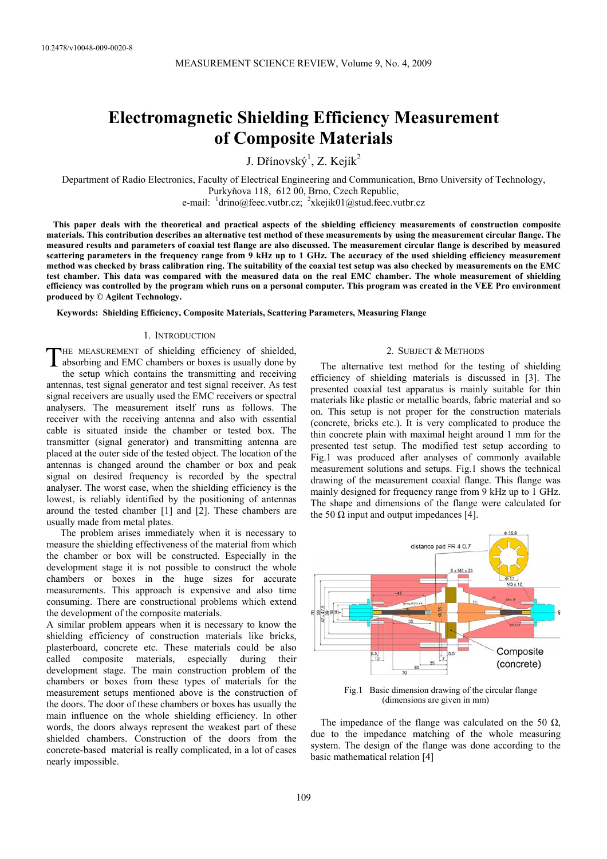# **Electromagnetic Shielding Efficiency Measurement of Composite Materials**

J. Dřínovský<sup>1</sup>, Z. Kejík<sup>2</sup>

Department of Radio Electronics, Faculty of Electrical Engineering and Communication, Brno University of Technology, Purkyňova 118, 612 00, Brno, Czech Republic, e-mail:  $\frac{1}{2}$ drino@feec.vutbr.cz;  $\frac{2}{x}$ kejik01@stud.feec.vutbr.cz

 **This paper deals with the theoretical and practical aspects of the shielding efficiency measurements of construction composite materials. This contribution describes an alternative test method of these measurements by using the measurement circular flange. The measured results and parameters of coaxial test flange are also discussed. The measurement circular flange is described by measured scattering parameters in the frequency range from 9 kHz up to 1 GHz. The accuracy of the used shielding efficiency measurement method was checked by brass calibration ring. The suitability of the coaxial test setup was also checked by measurements on the EMC test chamber. This data was compared with the measured data on the real EMC chamber. The whole measurement of shielding efficiency was controlled by the program which runs on a personal computer. This program was created in the VEE Pro environment produced by © Agilent Technology.** 

**Keywords: Shielding Efficiency, Composite Materials, Scattering Parameters, Measuring Flange** 

## 1. INTRODUCTION

THE MEASUREMENT of shielding efficiency of shielded, THE MEASUREMENT of shielding efficiency of shielded,<br>absorbing and EMC chambers or boxes is usually done by the setup which contains the transmitting and receiving antennas, test signal generator and test signal receiver. As test

signal receivers are usually used the EMC receivers or spectral analysers. The measurement itself runs as follows. The receiver with the receiving antenna and also with essential cable is situated inside the chamber or tested box. The transmitter (signal generator) and transmitting antenna are placed at the outer side of the tested object. The location of the antennas is changed around the chamber or box and peak signal on desired frequency is recorded by the spectral analyser. The worst case, when the shielding efficiency is the lowest, is reliably identified by the positioning of antennas around the tested chamber [1] and [2]. These chambers are usually made from metal plates.

The problem arises immediately when it is necessary to measure the shielding effectiveness of the material from which the chamber or box will be constructed. Especially in the development stage it is not possible to construct the whole chambers or boxes in the huge sizes for accurate measurements. This approach is expensive and also time consuming. There are constructional problems which extend the development of the composite materials.

A similar problem appears when it is necessary to know the shielding efficiency of construction materials like bricks, plasterboard, concrete etc. These materials could be also called composite materials, especially during their development stage. The main construction problem of the chambers or boxes from these types of materials for the measurement setups mentioned above is the construction of the doors. The door of these chambers or boxes has usually the main influence on the whole shielding efficiency. In other words, the doors always represent the weakest part of these shielded chambers. Construction of the doors from the concrete-based material is really complicated, in a lot of cases nearly impossible.

#### 2. SUBJECT & METHODS

The alternative test method for the testing of shielding efficiency of shielding materials is discussed in [3]. The presented coaxial test apparatus is mainly suitable for thin materials like plastic or metallic boards, fabric material and so on. This setup is not proper for the construction materials (concrete, bricks etc.). It is very complicated to produce the thin concrete plain with maximal height around 1 mm for the presented test setup. The modified test setup according to Fig.1 was produced after analyses of commonly available measurement solutions and setups. Fig.1 shows the technical drawing of the measurement coaxial flange. This flange was mainly designed for frequency range from 9 kHz up to 1 GHz. The shape and dimensions of the flange were calculated for the 50  $\Omega$  input and output impedances [4].



Fig.1 Basic dimension drawing of the circular flange (dimensions are given in mm)

The impedance of the flange was calculated on the 50  $\Omega$ , due to the impedance matching of the whole measuring system. The design of the flange was done according to the basic mathematical relation [4]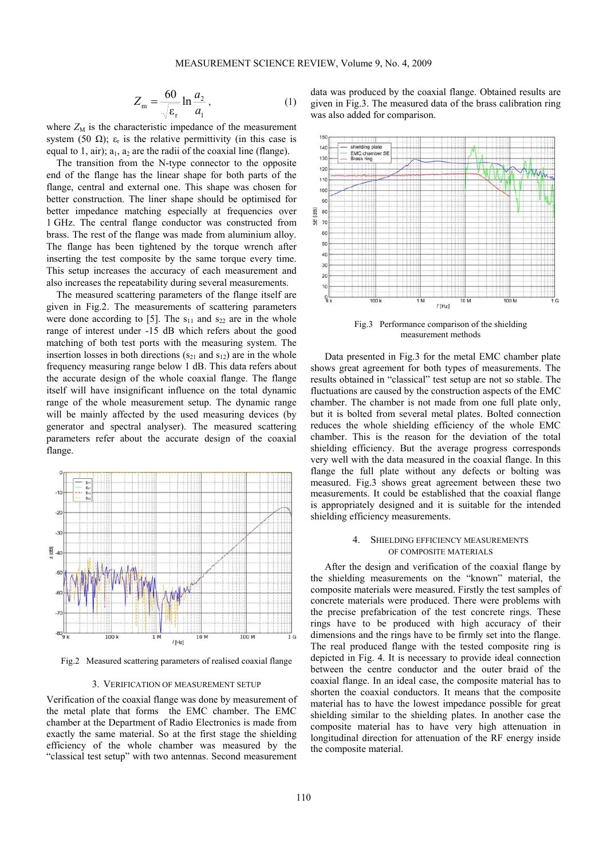$$
Z_{\rm m} = \frac{60}{\sqrt{\varepsilon_{\rm r}}} \ln \frac{a_2}{a_1},\tag{1}
$$

where  $Z_M$  is the characteristic impedance of the measurement system (50  $\Omega$ );  $\varepsilon_r$  is the relative permittivity (in this case is equal to 1, air);  $a_1$ ,  $a_2$  are the radii of the coaxial line (flange).

The transition from the N-type connector to the opposite end of the flange has the linear shape for both parts of the flange, central and external one. This shape was chosen for better construction. The liner shape should be optimised for better impedance matching especially at frequencies over 1 GHz. The central flange conductor was constructed from brass. The rest of the flange was made from aluminium alloy. The flange has been tightened by the torque wrench after inserting the test composite by the same torque every time. This setup increases the accuracy of each measurement and also increases the repeatability during several measurements.

The measured scattering parameters of the flange itself are given in Fig.2. The measurements of scattering parameters were done according to [5]. The  $s_{11}$  and  $s_{22}$  are in the whole range of interest under -15 dB which refers about the good matching of both test ports with the measuring system. The insertion losses in both directions  $(s_{21}$  and  $s_{12})$  are in the whole frequency measuring range below 1 dB. This data refers about the accurate design of the whole coaxial flange. The flange itself will have insignificant influence on the total dynamic range of the whole measurement setup. The dynamic range will be mainly affected by the used measuring devices (by generator and spectral analyser). The measured scattering parameters refer about the accurate design of the coaxial flange.



Fig.2 Measured scattering parameters of realised coaxial flange

#### 3. VERIFICATION OF MEASUREMENT SETUP

Verification of the coaxial flange was done by measurement of the metal plate that forms the EMC chamber. The EMC chamber at the Department of Radio Electronics is made from exactly the same material. So at the first stage the shielding efficiency of the whole chamber was measured by the "classical test setup" with two antennas. Second measurement

data was produced by the coaxial flange. Obtained results are given in Fig.3. The measured data of the brass calibration ring was also added for comparison.



Fig.3 Performance comparison of the shielding measurement methods

Data presented in Fig.3 for the metal EMC chamber plate shows great agreement for both types of measurements. The results obtained in "classical" test setup are not so stable. The fluctuations are caused by the construction aspects of the EMC chamber. The chamber is not made from one full plate only, but it is bolted from several metal plates. Bolted connection reduces the whole shielding efficiency of the whole EMC chamber. This is the reason for the deviation of the total shielding efficiency. But the average progress corresponds very well with the data measured in the coaxial flange. In this flange the full plate without any defects or bolting was measured. Fig.3 shows great agreement between these two measurements. It could be established that the coaxial flange is appropriately designed and it is suitable for the intended shielding efficiency measurements.

## 4. SHIELDING EFFICIENCY MEASUREMENTS OF COMPOSITE MATERIALS

After the design and verification of the coaxial flange by the shielding measurements on the "known" material, the composite materials were measured. Firstly the test samples of concrete materials were produced. There were problems with the precise prefabrication of the test concrete rings. These rings have to be produced with high accuracy of their dimensions and the rings have to be firmly set into the flange. The real produced flange with the tested composite ring is depicted in Fig. 4. It is necessary to provide ideal connection between the centre conductor and the outer braid of the coaxial flange. In an ideal case, the composite material has to shorten the coaxial conductors. It means that the composite material has to have the lowest impedance possible for great shielding similar to the shielding plates. In another case the composite material has to have very high attenuation in longitudinal direction for attenuation of the RF energy inside the composite material.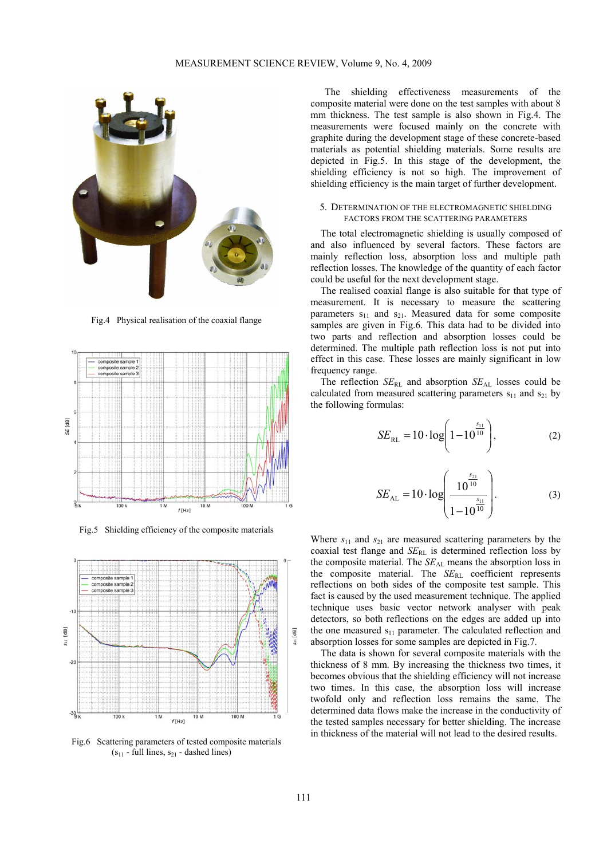

Fig.4 Physical realisation of the coaxial flange



Fig.5 Shielding efficiency of the composite materials



Fig.6 Scattering parameters of tested composite materials  $(s_{11}$  - full lines,  $s_{21}$  - dashed lines)

The shielding effectiveness measurements of the composite material were done on the test samples with about 8 mm thickness. The test sample is also shown in Fig.4. The measurements were focused mainly on the concrete with graphite during the development stage of these concrete-based materials as potential shielding materials. Some results are depicted in Fig.5. In this stage of the development, the shielding efficiency is not so high. The improvement of shielding efficiency is the main target of further development.

## 5. DETERMINATION OF THE ELECTROMAGNETIC SHIELDING FACTORS FROM THE SCATTERING PARAMETERS

The total electromagnetic shielding is usually composed of and also influenced by several factors. These factors are mainly reflection loss, absorption loss and multiple path reflection losses. The knowledge of the quantity of each factor could be useful for the next development stage.

The realised coaxial flange is also suitable for that type of measurement. It is necessary to measure the scattering parameters  $s_{11}$  and  $s_{21}$ . Measured data for some composite samples are given in Fig.6. This data had to be divided into two parts and reflection and absorption losses could be determined. The multiple path reflection loss is not put into effect in this case. These losses are mainly significant in low frequency range.

The reflection  $SE_{RL}$  and absorption  $SE_{AL}$  losses could be calculated from measured scattering parameters  $s_{11}$  and  $s_{21}$  by the following formulas:

$$
SE_{\text{RL}} = 10 \cdot \log \left( 1 - 10^{\frac{s_{11}}{10}} \right),\tag{2}
$$

$$
SE_{\text{AL}} = 10 \cdot \log \left( \frac{10^{\frac{s_{21}}{10}}}{1 - 10^{\frac{s_{11}}{10}}} \right). \tag{3}
$$

Where  $s_{11}$  and  $s_{21}$  are measured scattering parameters by the coaxial test flange and *SE*<sub>RL</sub> is determined reflection loss by the composite material. The *SE*<sub>AL</sub> means the absorption loss in the composite material. The *SE*RL coefficient represents reflections on both sides of the composite test sample. This fact is caused by the used measurement technique. The applied technique uses basic vector network analyser with peak detectors, so both reflections on the edges are added up into the one measured  $s_{11}$  parameter. The calculated reflection and absorption losses for some samples are depicted in Fig.7.

The data is shown for several composite materials with the thickness of 8 mm. By increasing the thickness two times, it becomes obvious that the shielding efficiency will not increase two times. In this case, the absorption loss will increase twofold only and reflection loss remains the same. The determined data flows make the increase in the conductivity of the tested samples necessary for better shielding. The increase in thickness of the material will not lead to the desired results.